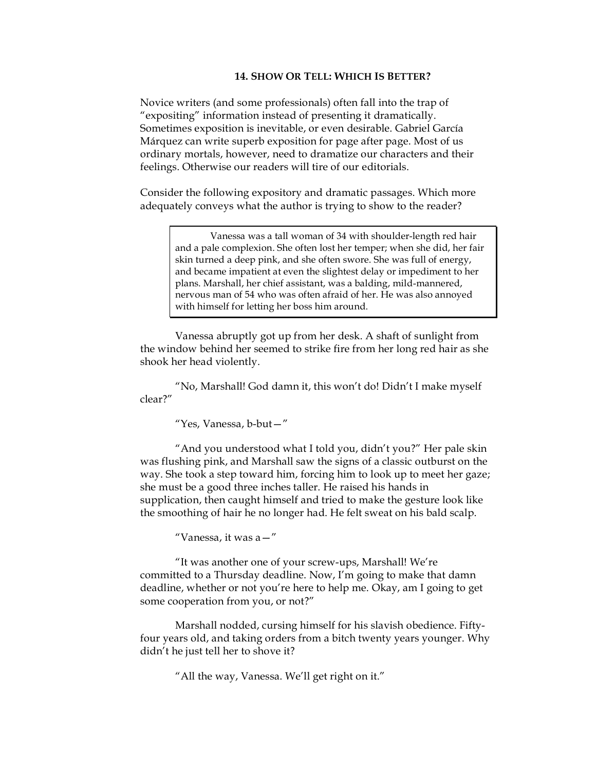## **14. SHOW OR TELL: WHICH IS BETTER?**

Novice writers (and some professionals) often fall into the trap of "expositing" information instead of presenting it dramatically. Sometimes exposition is inevitable, or even desirable. Gabriel García Márquez can write superb exposition for page after page. Most of us ordinary mortals, however, need to dramatize our characters and their feelings. Otherwise our readers will tire of our editorials.

Consider the following expository and dramatic passages. Which more adequately conveys what the author is trying to show to the reader?

> Vanessa was a tall woman of 34 with shoulder-length red hair and a pale complexion. She often lost her temper; when she did, her fair skin turned a deep pink, and she often swore. She was full of energy, and became impatient at even the slightest delay or impediment to her plans. Marshall, her chief assistant, was a balding, mild-mannered, nervous man of 54 who was often afraid of her. He was also annoyed with himself for letting her boss him around.

Vanessa abruptly got up from her desk. A shaft of sunlight from the window behind her seemed to strike fire from her long red hair as she shook her head violently.

"No, Marshall! God damn it, this won't do! Didn't I make myself clear?"

"Yes, Vanessa, b-but—"

"And you understood what I told you, didn't you?" Her pale skin was flushing pink, and Marshall saw the signs of a classic outburst on the way. She took a step toward him, forcing him to look up to meet her gaze; she must be a good three inches taller. He raised his hands in supplication, then caught himself and tried to make the gesture look like the smoothing of hair he no longer had. He felt sweat on his bald scalp.

"Vanessa, it was a—"

"It was another one of your screw-ups, Marshall! We're committed to a Thursday deadline. Now, I'm going to make that damn deadline, whether or not you're here to help me. Okay, am I going to get some cooperation from you, or not?"

Marshall nodded, cursing himself for his slavish obedience. Fiftyfour years old, and taking orders from a bitch twenty years younger. Why didn't he just tell her to shove it?

"All the way, Vanessa. We'll get right on it."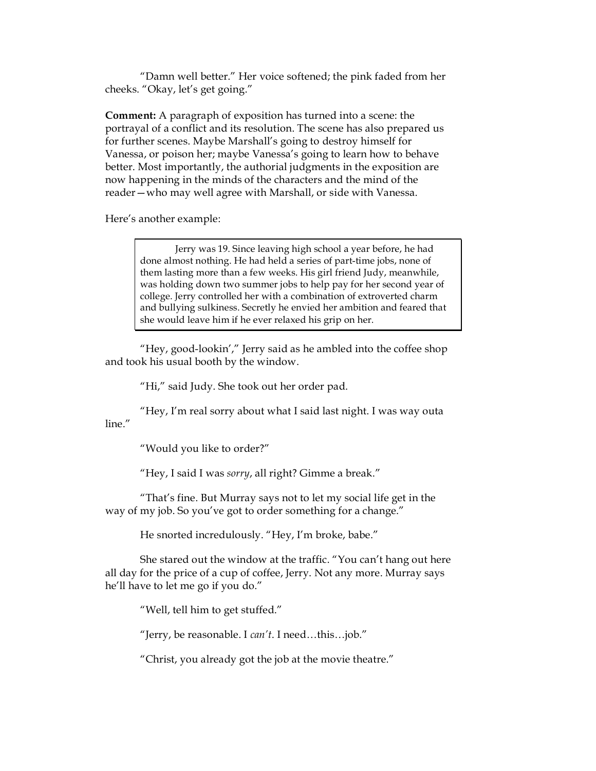"Damn well better." Her voice softened; the pink faded from her cheeks. "Okay, let's get going."

**Comment:** A paragraph of exposition has turned into a scene: the portrayal of a conflict and its resolution. The scene has also prepared us for further scenes. Maybe Marshall's going to destroy himself for Vanessa, or poison her; maybe Vanessa's going to learn how to behave better. Most importantly, the authorial judgments in the exposition are now happening in the minds of the characters and the mind of the reader—who may well agree with Marshall, or side with Vanessa.

Here's another example:

Jerry was 19. Since leaving high school a year before, he had done almost nothing. He had held a series of part-time jobs, none of them lasting more than a few weeks. His girl friend Judy, meanwhile, was holding down two summer jobs to help pay for her second year of college. Jerry controlled her with a combination of extroverted charm and bullying sulkiness. Secretly he envied her ambition and feared that she would leave him if he ever relaxed his grip on her.

"Hey, good-lookin'," Jerry said as he ambled into the coffee shop and took his usual booth by the window.

"Hi," said Judy. She took out her order pad.

"Hey, I'm real sorry about what I said last night. I was way outa line."

"Would you like to order?"

"Hey, I said I was *sorry*, all right? Gimme a break."

"That's fine. But Murray says not to let my social life get in the way of my job. So you've got to order something for a change."

He snorted incredulously. "Hey, I'm broke, babe."

She stared out the window at the traffic. "You can't hang out here all day for the price of a cup of coffee, Jerry. Not any more. Murray says he'll have to let me go if you do."

"Well, tell him to get stuffed."

"Jerry, be reasonable. I *can't*. I need…this…job."

"Christ, you already got the job at the movie theatre."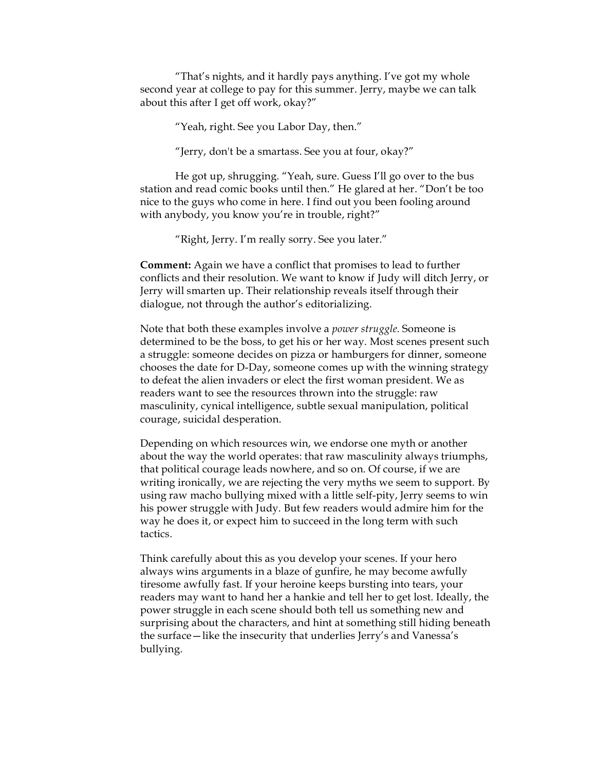"That's nights, and it hardly pays anything. I've got my whole second year at college to pay for this summer. Jerry, maybe we can talk about this after I get off work, okay?"

"Yeah, right. See you Labor Day, then."

"Jerry, don't be a smartass. See you at four, okay?"

He got up, shrugging. "Yeah, sure. Guess I'll go over to the bus station and read comic books until then." He glared at her. "Don't be too nice to the guys who come in here. I find out you been fooling around with anybody, you know you're in trouble, right?"

"Right, Jerry. I'm really sorry. See you later."

**Comment:** Again we have a conflict that promises to lead to further conflicts and their resolution. We want to know if Judy will ditch Jerry, or Jerry will smarten up. Their relationship reveals itself through their dialogue, not through the author's editorializing.

Note that both these examples involve a *power struggle.* Someone is determined to be the boss, to get his or her way. Most scenes present such a struggle: someone decides on pizza or hamburgers for dinner, someone chooses the date for D-Day, someone comes up with the winning strategy to defeat the alien invaders or elect the first woman president. We as readers want to see the resources thrown into the struggle: raw masculinity, cynical intelligence, subtle sexual manipulation, political courage, suicidal desperation.

Depending on which resources win, we endorse one myth or another about the way the world operates: that raw masculinity always triumphs, that political courage leads nowhere, and so on. Of course, if we are writing ironically, we are rejecting the very myths we seem to support. By using raw macho bullying mixed with a little self-pity, Jerry seems to win his power struggle with Judy. But few readers would admire him for the way he does it, or expect him to succeed in the long term with such tactics.

Think carefully about this as you develop your scenes. If your hero always wins arguments in a blaze of gunfire, he may become awfully tiresome awfully fast. If your heroine keeps bursting into tears, your readers may want to hand her a hankie and tell her to get lost. Ideally, the power struggle in each scene should both tell us something new and surprising about the characters, and hint at something still hiding beneath the surface—like the insecurity that underlies Jerry's and Vanessa's bullying.